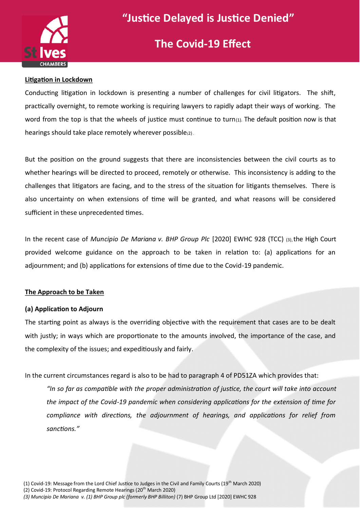

## **The Covid-19 Effect**

#### **Litigation in Lockdown**

Conducting litigation in lockdown is presenting a number of challenges for civil litigators. The shift, practically overnight, to remote working is requiring lawyers to rapidly adapt their ways of working. The word from the top is that the wheels of justice must continue to turn $(1)$ . The default position now is that hearings should take place remotely wherever possible(2).

But the position on the ground suggests that there are inconsistencies between the civil courts as to whether hearings will be directed to proceed, remotely or otherwise. This inconsistency is adding to the challenges that litigators are facing, and to the stress of the situation for litigants themselves. There is also uncertainty on when extensions of time will be granted, and what reasons will be considered sufficient in these unprecedented times.

In the recent case of *Muncipio De Mariana v. BHP Group Plc* [2020] EWHC 928 (TCC) (3), the High Court provided welcome guidance on the approach to be taken in relation to: (a) applications for an adjournment; and (b) applications for extensions of time due to the Covid-19 pandemic.

#### **The Approach to be Taken**

#### **(a) Application to Adjourn**

The starting point as always is the overriding objective with the requirement that cases are to be dealt with justly; in ways which are proportionate to the amounts involved, the importance of the case, and the complexity of the issues; and expeditiously and fairly.

In the current circumstances regard is also to be had to paragraph 4 of PD51ZA which provides that:

*"In so far as compatible with the proper administration of justice, the court will take into account the impact of the Covid-19 pandemic when considering applications for the extension of time for compliance with directions, the adjournment of hearings, and applications for relief from sanctions."*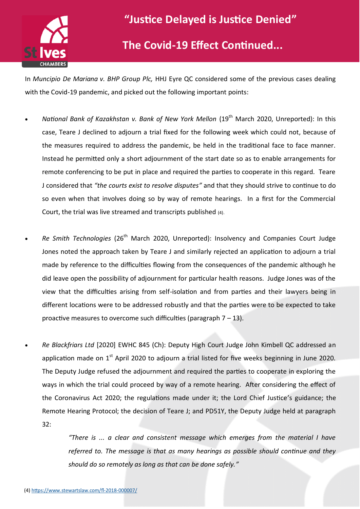

### **The Covid-19 Effect Continued...**

In *Muncipio De Mariana v. BHP Group Plc,* HHJ Eyre QC considered some of the previous cases dealing with the Covid-19 pandemic, and picked out the following important points:

- *National Bank of Kazakhstan v. Bank of New York Mellon* (19<sup>th</sup> March 2020, Unreported): In this case, Teare J declined to adjourn a trial fixed for the following week which could not, because of the measures required to address the pandemic, be held in the traditional face to face manner. Instead he permitted only a short adjournment of the start date so as to enable arrangements for remote conferencing to be put in place and required the parties to cooperate in this regard. Teare J considered that *"the courts exist to resolve disputes"* and that they should strive to continue to do so even when that involves doing so by way of remote hearings. In a first for the Commercial Court, the trial was live streamed and transcripts published (4).
- *Re Smith Technologies* (26<sup>th</sup> March 2020, Unreported): Insolvency and Companies Court Judge Jones noted the approach taken by Teare J and similarly rejected an application to adjourn a trial made by reference to the difficulties flowing from the consequences of the pandemic although he did leave open the possibility of adjournment for particular health reasons. Judge Jones was of the view that the difficulties arising from self-isolation and from parties and their lawyers being in different locations were to be addressed robustly and that the parties were to be expected to take proactive measures to overcome such difficulties (paragraph  $7 - 13$ ).
- *Re Blackfriars Ltd* [2020] EWHC 845 (Ch): Deputy High Court Judge John Kimbell QC addressed an application made on  $1^{st}$  April 2020 to adjourn a trial listed for five weeks beginning in June 2020. The Deputy Judge refused the adjournment and required the parties to cooperate in exploring the ways in which the trial could proceed by way of a remote hearing. After considering the effect of the Coronavirus Act 2020; the regulations made under it; the Lord Chief Justice's guidance; the Remote Hearing Protocol; the decision of Teare J; and PD51Y, the Deputy Judge held at paragraph 32:

*"There is ... a clear and consistent message which emerges from the material I have referred to. The message is that as many hearings as possible should continue and they should do so remotely as long as that can be done safely."*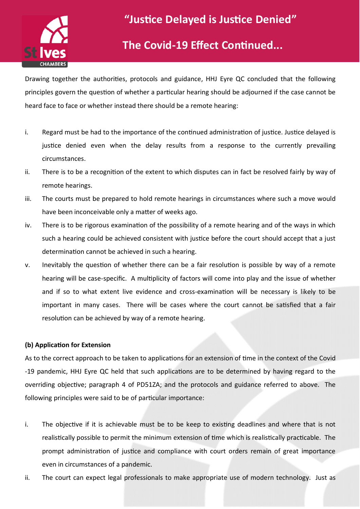

### **The Covid-19 Effect Continued...**

Drawing together the authorities, protocols and guidance, HHJ Eyre QC concluded that the following principles govern the question of whether a particular hearing should be adjourned if the case cannot be heard face to face or whether instead there should be a remote hearing:

- i. Regard must be had to the importance of the continued administration of justice. Justice delayed is justice denied even when the delay results from a response to the currently prevailing circumstances.
- ii. There is to be a recognition of the extent to which disputes can in fact be resolved fairly by way of remote hearings.
- iii. The courts must be prepared to hold remote hearings in circumstances where such a move would have been inconceivable only a matter of weeks ago.
- iv. There is to be rigorous examination of the possibility of a remote hearing and of the ways in which such a hearing could be achieved consistent with justice before the court should accept that a just determination cannot be achieved in such a hearing.
- v. Inevitably the question of whether there can be a fair resolution is possible by way of a remote hearing will be case-specific. A multiplicity of factors will come into play and the issue of whether and if so to what extent live evidence and cross-examination will be necessary is likely to be important in many cases. There will be cases where the court cannot be satisfied that a fair resolution can be achieved by way of a remote hearing.

#### **(b) Application for Extension**

As to the correct approach to be taken to applications for an extension of time in the context of the Covid -19 pandemic, HHJ Eyre QC held that such applications are to be determined by having regard to the overriding objective; paragraph 4 of PD51ZA; and the protocols and guidance referred to above. The following principles were said to be of particular importance:

- i. The objective if it is achievable must be to be keep to existing deadlines and where that is not realistically possible to permit the minimum extension of time which is realistically practicable. The prompt administration of justice and compliance with court orders remain of great importance even in circumstances of a pandemic.
- ii. The court can expect legal professionals to make appropriate use of modern technology. Just as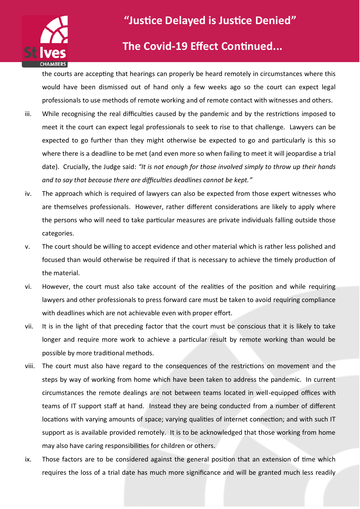

### **The Covid-19 Effect Continued...**

the courts are accepting that hearings can properly be heard remotely in circumstances where this would have been dismissed out of hand only a few weeks ago so the court can expect legal professionals to use methods of remote working and of remote contact with witnesses and others.

- iii. While recognising the real difficulties caused by the pandemic and by the restrictions imposed to meet it the court can expect legal professionals to seek to rise to that challenge. Lawyers can be expected to go further than they might otherwise be expected to go and particularly is this so where there is a deadline to be met (and even more so when failing to meet it will jeopardise a trial date). Crucially, the Judge said: *"It is not enough for those involved simply to throw up their hands and to say that because there are difficulties deadlines cannot be kept."*
- iv. The approach which is required of lawyers can also be expected from those expert witnesses who are themselves professionals. However, rather different considerations are likely to apply where the persons who will need to take particular measures are private individuals falling outside those categories.
- v. The court should be willing to accept evidence and other material which is rather less polished and focused than would otherwise be required if that is necessary to achieve the timely production of the material.
- vi. However, the court must also take account of the realities of the position and while requiring lawyers and other professionals to press forward care must be taken to avoid requiring compliance with deadlines which are not achievable even with proper effort.
- vii. It is in the light of that preceding factor that the court must be conscious that it is likely to take longer and require more work to achieve a particular result by remote working than would be possible by more traditional methods.
- viii. The court must also have regard to the consequences of the restrictions on movement and the steps by way of working from home which have been taken to address the pandemic. In current circumstances the remote dealings are not between teams located in well-equipped offices with teams of IT support staff at hand. Instead they are being conducted from a number of different locations with varying amounts of space; varying qualities of internet connection; and with such IT support as is available provided remotely. It is to be acknowledged that those working from home may also have caring responsibilities for children or others.
- ix. Those factors are to be considered against the general position that an extension of time which requires the loss of a trial date has much more significance and will be granted much less readily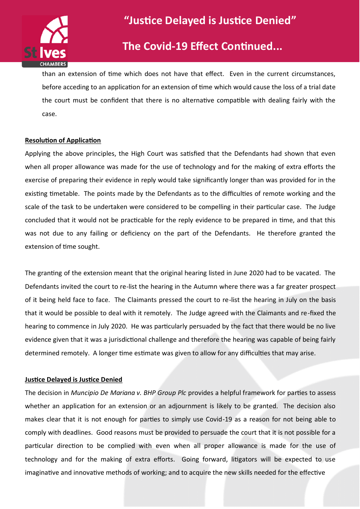

### **The Covid-19 Effect Continued...**

than an extension of time which does not have that effect. Even in the current circumstances, before acceding to an application for an extension of time which would cause the loss of a trial date the court must be confident that there is no alternative compatible with dealing fairly with the case.

#### **Resolution of Application**

Applying the above principles, the High Court was satisfied that the Defendants had shown that even when all proper allowance was made for the use of technology and for the making of extra efforts the exercise of preparing their evidence in reply would take significantly longer than was provided for in the existing timetable. The points made by the Defendants as to the difficulties of remote working and the scale of the task to be undertaken were considered to be compelling in their particular case. The Judge concluded that it would not be practicable for the reply evidence to be prepared in time, and that this was not due to any failing or deficiency on the part of the Defendants. He therefore granted the extension of time sought.

The granting of the extension meant that the original hearing listed in June 2020 had to be vacated. The Defendants invited the court to re-list the hearing in the Autumn where there was a far greater prospect of it being held face to face. The Claimants pressed the court to re-list the hearing in July on the basis that it would be possible to deal with it remotely. The Judge agreed with the Claimants and re-fixed the hearing to commence in July 2020. He was particularly persuaded by the fact that there would be no live evidence given that it was a jurisdictional challenge and therefore the hearing was capable of being fairly determined remotely. A longer time estimate was given to allow for any difficulties that may arise.

#### **Justice Delayed is Justice Denied**

The decision in *Muncipio De Mariana v. BHP Group Plc* provides a helpful framework for parties to assess whether an application for an extension or an adjournment is likely to be granted. The decision also makes clear that it is not enough for parties to simply use Covid-19 as a reason for not being able to comply with deadlines. Good reasons must be provided to persuade the court that it is not possible for a particular direction to be complied with even when all proper allowance is made for the use of technology and for the making of extra efforts. Going forward, litigators will be expected to use imaginative and innovative methods of working; and to acquire the new skills needed for the effective